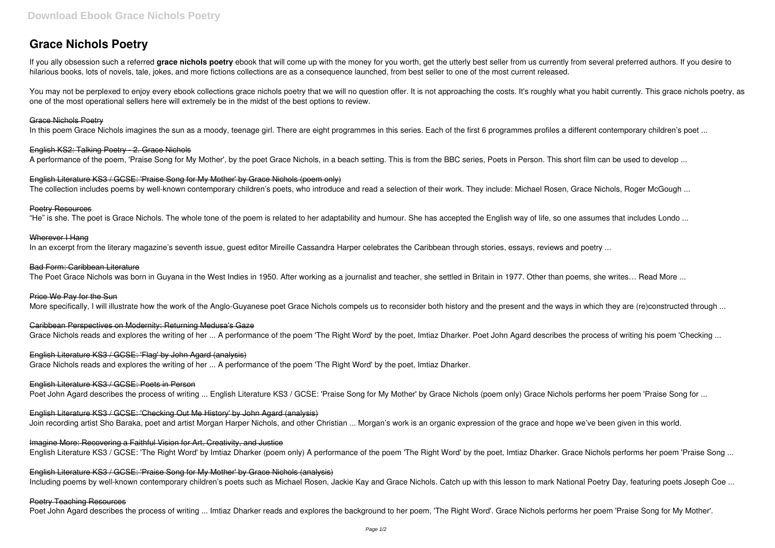# **Grace Nichols Poetry**

If you ally obsession such a referred **grace nichols poetry** ebook that will come up with the money for you worth, get the utterly best seller from us currently from several preferred authors. If you desire to hilarious books, lots of novels, tale, jokes, and more fictions collections are as a consequence launched, from best seller to one of the most current released.

You may not be perplexed to enjoy every ebook collections grace nichols poetry that we will no question offer. It is not approaching the costs. It's roughly what you habit currently. This grace nichols poetry, as one of the most operational sellers here will extremely be in the midst of the best options to review.

English Literature KS3 / GCSE: 'Praise Song for My Mother' by Grace Nichols (poem only) The collection includes poems by well-known contemporary children's poets, who introduce and read a selection of their work. They include: Michael Rosen, Grace Nichols, Roger McGough ...

#### Grace Nichols Poetry

In this poem Grace Nichols imagines the sun as a moody, teenage girl. There are eight programmes in this series. Each of the first 6 programmes profiles a different contemporary children's poet ...

## English KS2: Talking Poetry - 2. Grace Nichols

A performance of the poem, 'Praise Song for My Mother', by the poet Grace Nichols, in a beach setting. This is from the BBC series, Poets in Person. This short film can be used to develop ...

## Poetry Resources

"He" is she. The poet is Grace Nichols. The whole tone of the poem is related to her adaptability and humour. She has accepted the English way of life, so one assumes that includes Londo ...

## Wherever I Hang

In an excerpt from the literary magazine's seventh issue, guest editor Mireille Cassandra Harper celebrates the Caribbean through stories, essays, reviews and poetry ...

## Bad Form: Caribbean Literature

The Poet Grace Nichols was born in Guyana in the West Indies in 1950. After working as a journalist and teacher, she settled in Britain in 1977. Other than poems, she writes... Read More ...

#### Price We Pay for the Sun

More specifically, I will illustrate how the work of the Anglo-Guyanese poet Grace Nichols compels us to reconsider both history and the present and the ways in which they are (re)constructed through ...

Caribbean Perspectives on Modernity: Returning Medusa's Gaze

Grace Nichols reads and explores the writing of her ... A performance of the poem 'The Right Word' by the poet, Imtiaz Dharker. Poet John Agard describes the process of writing his poem 'Checking ...

## English Literature KS3 / GCSE: 'Flag' by John Agard (analysis)

Grace Nichols reads and explores the writing of her ... A performance of the poem 'The Right Word' by the poet, Imtiaz Dharker.

## English Literature KS3 / GCSE: Poets in Person

Poet John Agard describes the process of writing ... English Literature KS3 / GCSE: 'Praise Song for My Mother' by Grace Nichols (poem only) Grace Nichols performs her poem 'Praise Song for ...

## English Literature KS3 / GCSE: 'Checking Out Me History' by John Agard (analysis)

Join recording artist Sho Baraka, poet and artist Morgan Harper Nichols, and other Christian ... Morgan's work is an organic expression of the grace and hope we've been given in this world.

# Imagine More: Recovering a Faithful Vision for Art, Creativity, and Justice

English Literature KS3 / GCSE: 'The Right Word' by Imtiaz Dharker (poem only) A performance of the poem 'The Right Word' by the poet, Imtiaz Dharker, Grace Nichols performs her poem 'Praise Song ...

English Literature KS3 / GCSE: 'Praise Song for My Mother' by Grace Nichols (analysis) Including poems by well-known contemporary children's poets such as Michael Rosen, Jackie Kay and Grace Nichols. Catch up with this lesson to mark National Poetry Day, featuring poets Joseph Coe ...

## Poetry Teaching Resources

Poet John Agard describes the process of writing ... Imtiaz Dharker reads and explores the background to her poem. 'The Right Word'. Grace Nichols performs her poem 'Praise Song for My Mother'.